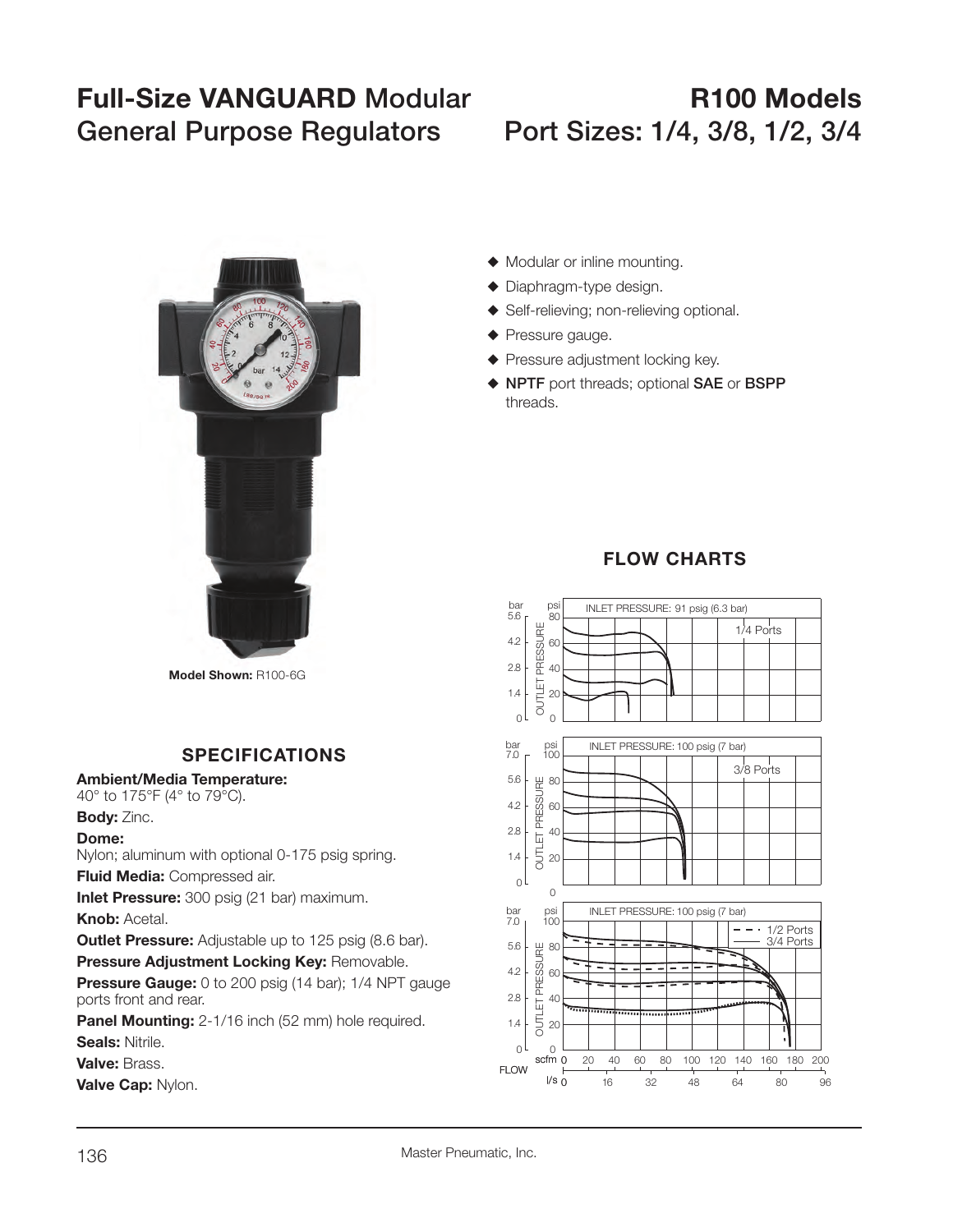# **Full-Size VANGUARD Modular R100 ModelsGeneral Purpose Regulators Port Sizes: 1/4, 3/8, 1/2, 3/4**



**Model Shown:** R100-6G

## **SPECIFICATIONS**

#### **Ambient/Media Temperature:**

40° to 175°F (4° to 79°C).

#### **Body:** Zinc.

#### **Dome:**

Nylon; aluminum with optional 0-175 psig spring.

**Fluid Media:** Compressed air.

**Inlet Pressure:** 300 psig (21 bar) maximum. **Knob:** Acetal.

**Outlet Pressure:** Adjustable up to 125 psig (8.6 bar).

**Pressure Adjustment Locking Key:** Removable.

**Pressure Gauge:** 0 to 200 psig (14 bar); 1/4 NPT gauge ports front and rear.

**Panel Mounting:** 2-1/16 inch (52 mm) hole required. **Seals:** Nitrile.

**Valve:** Brass.

**Valve Cap:** Nylon.

- $\blacklozenge$  Modular or inline mounting.
- $\blacklozenge$  Diaphragm-type design.
- ◆ Self-relieving; non-relieving optional.
- $\blacklozenge$  Pressure gauge.
- $\blacklozenge$  Pressure adjustment locking key.
- S **NPTF** port threads; optional **SAE** or **BSPP** threads.

# **FLOW CHARTS**